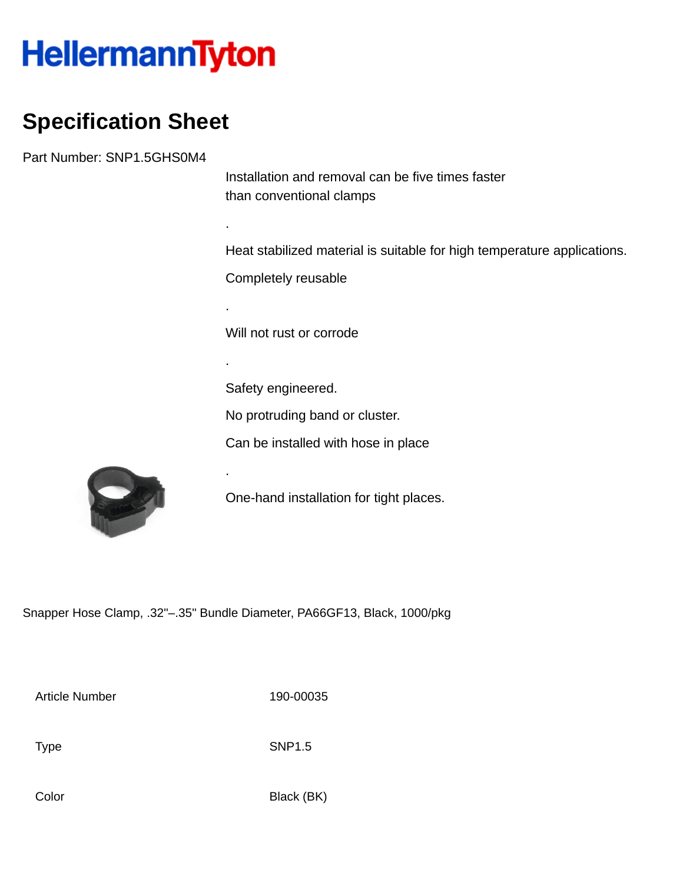## **HellermannTyton**

## **Specification Sheet**

Part Number: SNP1.5GHS0M4

Installation and removal can be five times faster than conventional clamps

Heat stabilized material is suitable for high temperature applications.

Completely reusable

.

.

.

.

Will not rust or corrode

Safety engineered.

No protruding band or cluster.

Can be installed with hose in place



One-hand installation for tight places.

Snapper Hose Clamp, .32"–.35" Bundle Diameter, PA66GF13, Black, 1000/pkg

Article Number 190-00035

Type SNP1.5

Color Black (BK)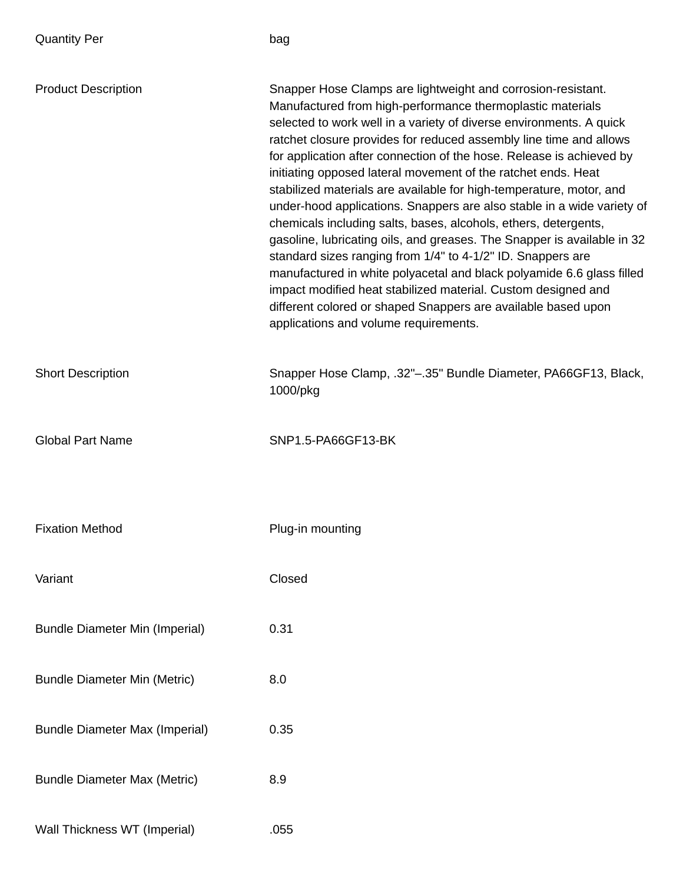| <b>Quantity Per</b>                   | bag                                                                                                                                                                                                                                                                                                                                                                                                                                                                                                                                                                                                                                                                                                                                                                                                                                                                                                                                                                                                                                |
|---------------------------------------|------------------------------------------------------------------------------------------------------------------------------------------------------------------------------------------------------------------------------------------------------------------------------------------------------------------------------------------------------------------------------------------------------------------------------------------------------------------------------------------------------------------------------------------------------------------------------------------------------------------------------------------------------------------------------------------------------------------------------------------------------------------------------------------------------------------------------------------------------------------------------------------------------------------------------------------------------------------------------------------------------------------------------------|
| <b>Product Description</b>            | Snapper Hose Clamps are lightweight and corrosion-resistant.<br>Manufactured from high-performance thermoplastic materials<br>selected to work well in a variety of diverse environments. A quick<br>ratchet closure provides for reduced assembly line time and allows<br>for application after connection of the hose. Release is achieved by<br>initiating opposed lateral movement of the ratchet ends. Heat<br>stabilized materials are available for high-temperature, motor, and<br>under-hood applications. Snappers are also stable in a wide variety of<br>chemicals including salts, bases, alcohols, ethers, detergents,<br>gasoline, lubricating oils, and greases. The Snapper is available in 32<br>standard sizes ranging from 1/4" to 4-1/2" ID. Snappers are<br>manufactured in white polyacetal and black polyamide 6.6 glass filled<br>impact modified heat stabilized material. Custom designed and<br>different colored or shaped Snappers are available based upon<br>applications and volume requirements. |
| <b>Short Description</b>              | Snapper Hose Clamp, .32"-.35" Bundle Diameter, PA66GF13, Black,<br>1000/pkg                                                                                                                                                                                                                                                                                                                                                                                                                                                                                                                                                                                                                                                                                                                                                                                                                                                                                                                                                        |
| <b>Global Part Name</b>               | SNP1.5-PA66GF13-BK                                                                                                                                                                                                                                                                                                                                                                                                                                                                                                                                                                                                                                                                                                                                                                                                                                                                                                                                                                                                                 |
| <b>Fixation Method</b>                | Plug-in mounting                                                                                                                                                                                                                                                                                                                                                                                                                                                                                                                                                                                                                                                                                                                                                                                                                                                                                                                                                                                                                   |
| Variant                               | Closed                                                                                                                                                                                                                                                                                                                                                                                                                                                                                                                                                                                                                                                                                                                                                                                                                                                                                                                                                                                                                             |
| <b>Bundle Diameter Min (Imperial)</b> | 0.31                                                                                                                                                                                                                                                                                                                                                                                                                                                                                                                                                                                                                                                                                                                                                                                                                                                                                                                                                                                                                               |
| <b>Bundle Diameter Min (Metric)</b>   | 8.0                                                                                                                                                                                                                                                                                                                                                                                                                                                                                                                                                                                                                                                                                                                                                                                                                                                                                                                                                                                                                                |
| <b>Bundle Diameter Max (Imperial)</b> | 0.35                                                                                                                                                                                                                                                                                                                                                                                                                                                                                                                                                                                                                                                                                                                                                                                                                                                                                                                                                                                                                               |
| <b>Bundle Diameter Max (Metric)</b>   | 8.9                                                                                                                                                                                                                                                                                                                                                                                                                                                                                                                                                                                                                                                                                                                                                                                                                                                                                                                                                                                                                                |
| Wall Thickness WT (Imperial)          | .055                                                                                                                                                                                                                                                                                                                                                                                                                                                                                                                                                                                                                                                                                                                                                                                                                                                                                                                                                                                                                               |